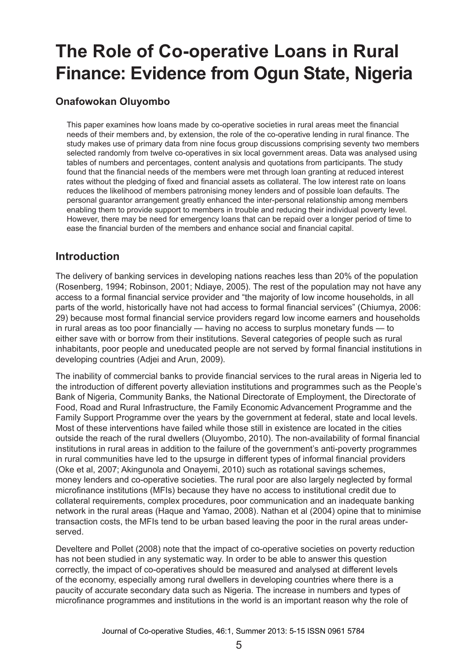# **The Role of Co-operative Loans in Rural Finance: Evidence from Ogun State, Nigeria**

## **Onafowokan Oluyombo**

This paper examines how loans made by co-operative societies in rural areas meet the financial needs of their members and, by extension, the role of the co-operative lending in rural finance. The study makes use of primary data from nine focus group discussions comprising seventy two members selected randomly from twelve co-operatives in six local government areas. Data was analysed using tables of numbers and percentages, content analysis and quotations from participants. The study found that the financial needs of the members were met through loan granting at reduced interest rates without the pledging of fixed and financial assets as collateral. The low interest rate on loans reduces the likelihood of members patronising money lenders and of possible loan defaults. The personal guarantor arrangement greatly enhanced the inter-personal relationship among members enabling them to provide support to members in trouble and reducing their individual poverty level. However, there may be need for emergency loans that can be repaid over a longer period of time to ease the financial burden of the members and enhance social and financial capital.

## **Introduction**

The delivery of banking services in developing nations reaches less than 20% of the population (Rosenberg, 1994; Robinson, 2001; Ndiaye, 2005). The rest of the population may not have any access to a formal financial service provider and "the majority of low income households, in all parts of the world, historically have not had access to formal financial services" (Chiumya, 2006: 29) because most formal financial service providers regard low income earners and households in rural areas as too poor financially — having no access to surplus monetary funds — to either save with or borrow from their institutions. Several categories of people such as rural inhabitants, poor people and uneducated people are not served by formal financial institutions in developing countries (Adjei and Arun, 2009).

The inability of commercial banks to provide financial services to the rural areas in Nigeria led to the introduction of different poverty alleviation institutions and programmes such as the People's Bank of Nigeria, Community Banks, the National Directorate of Employment, the Directorate of Food, Road and Rural Infrastructure, the Family Economic Advancement Programme and the Family Support Programme over the years by the government at federal, state and local levels. Most of these interventions have failed while those still in existence are located in the cities outside the reach of the rural dwellers (Oluyombo, 2010). The non-availability of formal financial institutions in rural areas in addition to the failure of the government's anti-poverty programmes in rural communities have led to the upsurge in different types of informal financial providers (Oke et al, 2007; Akingunola and Onayemi, 2010) such as rotational savings schemes, money lenders and co-operative societies. The rural poor are also largely neglected by formal microfinance institutions (MFIs) because they have no access to institutional credit due to collateral requirements, complex procedures, poor communication and an inadequate banking network in the rural areas (Haque and Yamao, 2008). Nathan et al (2004) opine that to minimise transaction costs, the MFIs tend to be urban based leaving the poor in the rural areas underserved.

Develtere and Pollet (2008) note that the impact of co-operative societies on poverty reduction has not been studied in any systematic way. In order to be able to answer this question correctly, the impact of co-operatives should be measured and analysed at different levels of the economy, especially among rural dwellers in developing countries where there is a paucity of accurate secondary data such as Nigeria. The increase in numbers and types of microfinance programmes and institutions in the world is an important reason why the role of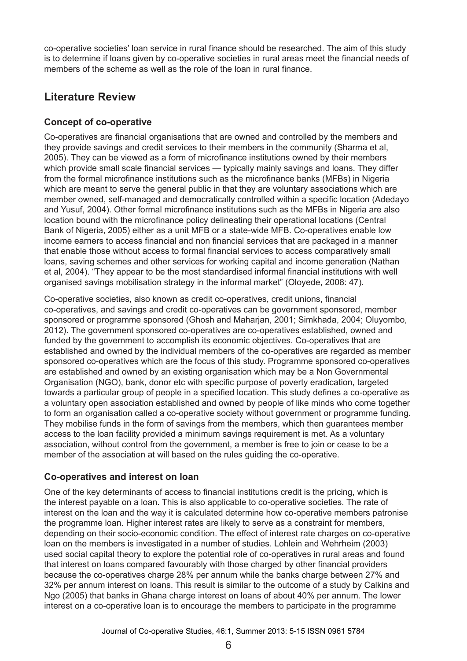co-operative societies' loan service in rural finance should be researched. The aim of this study is to determine if loans given by co-operative societies in rural areas meet the financial needs of members of the scheme as well as the role of the loan in rural finance.

# **Literature Review**

#### **Concept of co-operative**

Co-operatives are financial organisations that are owned and controlled by the members and they provide savings and credit services to their members in the community (Sharma et al, 2005). They can be viewed as a form of microfinance institutions owned by their members which provide small scale financial services — typically mainly savings and loans. They differ from the formal microfinance institutions such as the microfinance banks (MFBs) in Nigeria which are meant to serve the general public in that they are voluntary associations which are member owned, self-managed and democratically controlled within a specific location (Adedayo and Yusuf, 2004). Other formal microfinance institutions such as the MFBs in Nigeria are also location bound with the microfinance policy delineating their operational locations (Central Bank of Nigeria, 2005) either as a unit MFB or a state-wide MFB. Co-operatives enable low income earners to access financial and non financial services that are packaged in a manner that enable those without access to formal financial services to access comparatively small loans, saving schemes and other services for working capital and income generation (Nathan et al, 2004). "They appear to be the most standardised informal financial institutions with well organised savings mobilisation strategy in the informal market" (Oloyede, 2008: 47).

Co-operative societies, also known as credit co-operatives, credit unions, financial co-operatives, and savings and credit co-operatives can be government sponsored, member sponsored or programme sponsored (Ghosh and Maharjan, 2001; Simkhada, 2004; Oluyombo, 2012). The government sponsored co-operatives are co-operatives established, owned and funded by the government to accomplish its economic objectives. Co-operatives that are established and owned by the individual members of the co-operatives are regarded as member sponsored co-operatives which are the focus of this study. Programme sponsored co-operatives are established and owned by an existing organisation which may be a Non Governmental Organisation (NGO), bank, donor etc with specific purpose of poverty eradication, targeted towards a particular group of people in a specified location. This study defines a co-operative as a voluntary open association established and owned by people of like minds who come together to form an organisation called a co-operative society without government or programme funding. They mobilise funds in the form of savings from the members, which then guarantees member access to the loan facility provided a minimum savings requirement is met. As a voluntary association, without control from the government, a member is free to join or cease to be a member of the association at will based on the rules guiding the co-operative.

#### **Co-operatives and interest on loan**

One of the key determinants of access to financial institutions credit is the pricing, which is the interest payable on a loan. This is also applicable to co-operative societies. The rate of interest on the loan and the way it is calculated determine how co-operative members patronise the programme loan. Higher interest rates are likely to serve as a constraint for members, depending on their socio-economic condition. The effect of interest rate charges on co-operative loan on the members is investigated in a number of studies. Lohlein and Wehrheim (2003) used social capital theory to explore the potential role of co-operatives in rural areas and found that interest on loans compared favourably with those charged by other financial providers because the co-operatives charge 28% per annum while the banks charge between 27% and 32% per annum interest on loans. This result is similar to the outcome of a study by Calkins and Ngo (2005) that banks in Ghana charge interest on loans of about 40% per annum. The lower interest on a co-operative loan is to encourage the members to participate in the programme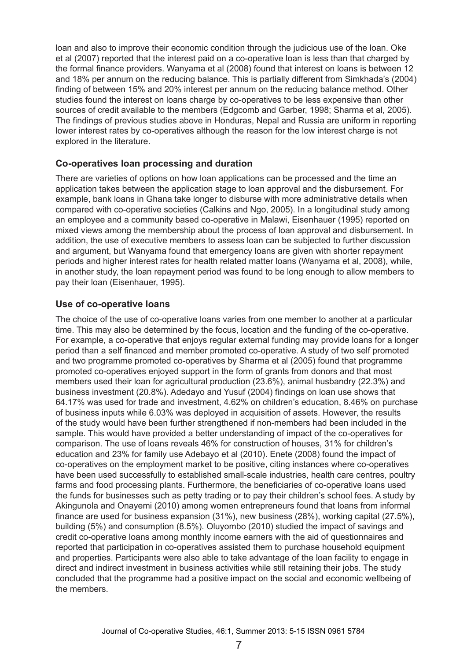loan and also to improve their economic condition through the judicious use of the loan. Oke et al (2007) reported that the interest paid on a co-operative loan is less than that charged by the formal finance providers. Wanyama et al (2008) found that interest on loans is between 12 and 18% per annum on the reducing balance. This is partially different from Simkhada's (2004) finding of between 15% and 20% interest per annum on the reducing balance method. Other studies found the interest on loans charge by co-operatives to be less expensive than other sources of credit available to the members (Edgcomb and Garber, 1998; Sharma et al, 2005). The findings of previous studies above in Honduras, Nepal and Russia are uniform in reporting lower interest rates by co-operatives although the reason for the low interest charge is not explored in the literature.

#### **Co-operatives loan processing and duration**

There are varieties of options on how loan applications can be processed and the time an application takes between the application stage to loan approval and the disbursement. For example, bank loans in Ghana take longer to disburse with more administrative details when compared with co-operative societies (Calkins and Ngo, 2005). In a longitudinal study among an employee and a community based co-operative in Malawi, Eisenhauer (1995) reported on mixed views among the membership about the process of loan approval and disbursement. In addition, the use of executive members to assess loan can be subjected to further discussion and argument, but Wanyama found that emergency loans are given with shorter repayment periods and higher interest rates for health related matter loans (Wanyama et al, 2008), while, in another study, the loan repayment period was found to be long enough to allow members to pay their loan (Eisenhauer, 1995).

#### **Use of co-operative loans**

The choice of the use of co-operative loans varies from one member to another at a particular time. This may also be determined by the focus, location and the funding of the co-operative. For example, a co-operative that enjoys regular external funding may provide loans for a longer period than a self financed and member promoted co-operative. A study of two self promoted and two programme promoted co-operatives by Sharma et al (2005) found that programme promoted co-operatives enjoyed support in the form of grants from donors and that most members used their loan for agricultural production (23.6%), animal husbandry (22.3%) and business investment (20.8%). Adedayo and Yusuf (2004) findings on loan use shows that 64.17% was used for trade and investment, 4.62% on children's education, 8.46% on purchase of business inputs while 6.03% was deployed in acquisition of assets. However, the results of the study would have been further strengthened if non-members had been included in the sample. This would have provided a better understanding of impact of the co-operatives for comparison. The use of loans reveals 46% for construction of houses, 31% for children's education and 23% for family use Adebayo et al (2010). Enete (2008) found the impact of co-operatives on the employment market to be positive, citing instances where co-operatives have been used successfully to established small-scale industries, health care centres, poultry farms and food processing plants. Furthermore, the beneficiaries of co-operative loans used the funds for businesses such as petty trading or to pay their children's school fees. A study by Akingunola and Onayemi (2010) among women entrepreneurs found that loans from informal finance are used for business expansion (31%), new business (28%), working capital (27.5%), building (5%) and consumption (8.5%). Oluyombo (2010) studied the impact of savings and credit co-operative loans among monthly income earners with the aid of questionnaires and reported that participation in co-operatives assisted them to purchase household equipment and properties. Participants were also able to take advantage of the loan facility to engage in direct and indirect investment in business activities while still retaining their jobs. The study concluded that the programme had a positive impact on the social and economic wellbeing of the members.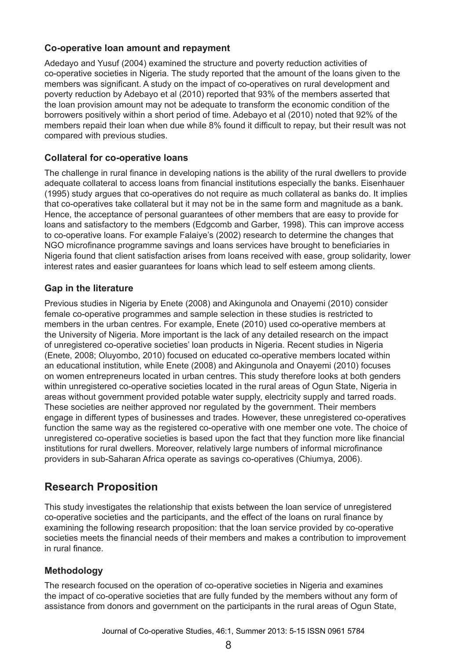#### **Co-operative loan amount and repayment**

Adedayo and Yusuf (2004) examined the structure and poverty reduction activities of co-operative societies in Nigeria. The study reported that the amount of the loans given to the members was significant. A study on the impact of co-operatives on rural development and poverty reduction by Adebayo et al (2010) reported that 93% of the members asserted that the loan provision amount may not be adequate to transform the economic condition of the borrowers positively within a short period of time. Adebayo et al (2010) noted that 92% of the members repaid their loan when due while 8% found it difficult to repay, but their result was not compared with previous studies.

#### **Collateral for co-operative loans**

The challenge in rural finance in developing nations is the ability of the rural dwellers to provide adequate collateral to access loans from financial institutions especially the banks. Eisenhauer (1995) study argues that co-operatives do not require as much collateral as banks do. It implies that co-operatives take collateral but it may not be in the same form and magnitude as a bank. Hence, the acceptance of personal guarantees of other members that are easy to provide for loans and satisfactory to the members (Edgcomb and Garber, 1998). This can improve access to co-operative loans. For example Falaiye's (2002) research to determine the changes that NGO microfinance programme savings and loans services have brought to beneficiaries in Nigeria found that client satisfaction arises from loans received with ease, group solidarity, lower interest rates and easier guarantees for loans which lead to self esteem among clients.

#### **Gap in the literature**

Previous studies in Nigeria by Enete (2008) and Akingunola and Onayemi (2010) consider female co-operative programmes and sample selection in these studies is restricted to members in the urban centres. For example, Enete (2010) used co-operative members at the University of Nigeria. More important is the lack of any detailed research on the impact of unregistered co-operative societies' loan products in Nigeria. Recent studies in Nigeria (Enete, 2008; Oluyombo, 2010) focused on educated co-operative members located within an educational institution, while Enete (2008) and Akingunola and Onayemi (2010) focuses on women entrepreneurs located in urban centres. This study therefore looks at both genders within unregistered co-operative societies located in the rural areas of Ogun State, Nigeria in areas without government provided potable water supply, electricity supply and tarred roads. These societies are neither approved nor regulated by the government. Their members engage in different types of businesses and trades. However, these unregistered co-operatives function the same way as the registered co-operative with one member one vote. The choice of unregistered co-operative societies is based upon the fact that they function more like financial institutions for rural dwellers. Moreover, relatively large numbers of informal microfinance providers in sub-Saharan Africa operate as savings co-operatives (Chiumya, 2006).

## **Research Proposition**

This study investigates the relationship that exists between the loan service of unregistered co-operative societies and the participants, and the effect of the loans on rural finance by examining the following research proposition: that the loan service provided by co-operative societies meets the financial needs of their members and makes a contribution to improvement in rural finance.

#### **Methodology**

The research focused on the operation of co-operative societies in Nigeria and examines the impact of co-operative societies that are fully funded by the members without any form of assistance from donors and government on the participants in the rural areas of Ogun State,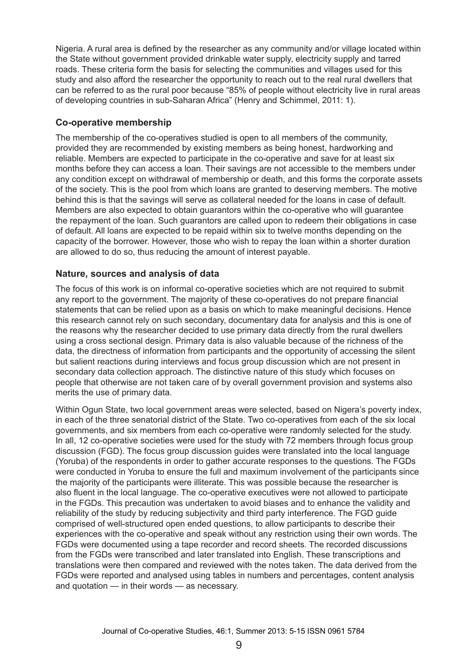Nigeria. A rural area is defined by the researcher as any community and/or village located within the State without government provided drinkable water supply, electricity supply and tarred roads. These criteria form the basis for selecting the communities and villages used for this study and also afford the researcher the opportunity to reach out to the real rural dwellers that can be referred to as the rural poor because "85% of people without electricity live in rural areas of developing countries in sub-Saharan Africa" (Henry and Schimmel, 2011: 1).

#### **Co-operative membership**

The membership of the co-operatives studied is open to all members of the community, provided they are recommended by existing members as being honest, hardworking and reliable. Members are expected to participate in the co-operative and save for at least six months before they can access a loan. Their savings are not accessible to the members under any condition except on withdrawal of membership or death, and this forms the corporate assets of the society. This is the pool from which loans are granted to deserving members. The motive behind this is that the savings will serve as collateral needed for the loans in case of default. Members are also expected to obtain guarantors within the co-operative who will guarantee the repayment of the loan. Such guarantors are called upon to redeem their obligations in case of default. All loans are expected to be repaid within six to twelve months depending on the capacity of the borrower. However, those who wish to repay the loan within a shorter duration are allowed to do so, thus reducing the amount of interest payable.

#### **Nature, sources and analysis of data**

The focus of this work is on informal co-operative societies which are not required to submit any report to the government. The majority of these co-operatives do not prepare financial statements that can be relied upon as a basis on which to make meaningful decisions. Hence this research cannot rely on such secondary, documentary data for analysis and this is one of the reasons why the researcher decided to use primary data directly from the rural dwellers using a cross sectional design. Primary data is also valuable because of the richness of the data, the directness of information from participants and the opportunity of accessing the silent but salient reactions during interviews and focus group discussion which are not present in secondary data collection approach. The distinctive nature of this study which focuses on people that otherwise are not taken care of by overall government provision and systems also merits the use of primary data.

Within Ogun State, two local government areas were selected, based on Nigera's poverty index, in each of the three senatorial district of the State. Two co-operatives from each of the six local governments, and six members from each co-operative were randomly selected for the study. In all, 12 co-operative societies were used for the study with 72 members through focus group discussion (FGD). The focus group discussion guides were translated into the local language (Yoruba) of the respondents in order to gather accurate responses to the questions. The FGDs were conducted in Yoruba to ensure the full and maximum involvement of the participants since the majority of the participants were illiterate. This was possible because the researcher is also fluent in the local language. The co-operative executives were not allowed to participate in the FGDs. This precaution was undertaken to avoid biases and to enhance the validity and reliability of the study by reducing subjectivity and third party interference. The FGD guide comprised of well-structured open ended questions, to allow participants to describe their experiences with the co-operative and speak without any restriction using their own words. The FGDs were documented using a tape recorder and record sheets. The recorded discussions from the FGDs were transcribed and later translated into English. These transcriptions and translations were then compared and reviewed with the notes taken. The data derived from the FGDs were reported and analysed using tables in numbers and percentages, content analysis and quotation — in their words — as necessary.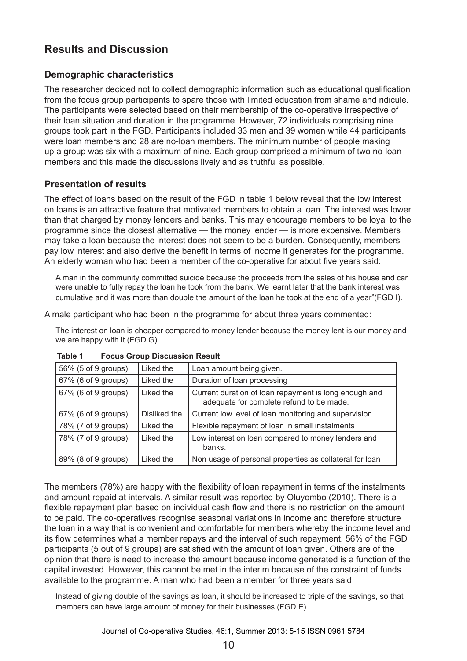## **Results and Discussion**

#### **Demographic characteristics**

The researcher decided not to collect demographic information such as educational qualification from the focus group participants to spare those with limited education from shame and ridicule. The participants were selected based on their membership of the co-operative irrespective of their loan situation and duration in the programme. However, 72 individuals comprising nine groups took part in the FGD. Participants included 33 men and 39 women while 44 participants were loan members and 28 are no-loan members. The minimum number of people making up a group was six with a maximum of nine. Each group comprised a minimum of two no-loan members and this made the discussions lively and as truthful as possible.

#### **Presentation of results**

The effect of loans based on the result of the FGD in table 1 below reveal that the low interest on loans is an attractive feature that motivated members to obtain a loan. The interest was lower than that charged by money lenders and banks. This may encourage members to be loyal to the programme since the closest alternative — the money lender — is more expensive. Members may take a loan because the interest does not seem to be a burden. Consequently, members pay low interest and also derive the benefit in terms of income it generates for the programme. An elderly woman who had been a member of the co-operative for about five years said:

A man in the community committed suicide because the proceeds from the sales of his house and car were unable to fully repay the loan he took from the bank. We learnt later that the bank interest was cumulative and it was more than double the amount of the loan he took at the end of a year"(FGD I).

A male participant who had been in the programme for about three years commented:

The interest on loan is cheaper compared to money lender because the money lent is our money and we are happy with it (FGD G).

| 56% (5 of 9 groups) | Liked the    | Loan amount being given.                                                                          |
|---------------------|--------------|---------------------------------------------------------------------------------------------------|
| 67% (6 of 9 groups) | Liked the    | Duration of loan processing                                                                       |
| 67% (6 of 9 groups) | Liked the    | Current duration of loan repayment is long enough and<br>adequate for complete refund to be made. |
| 67% (6 of 9 groups) | Disliked the | Current low level of loan monitoring and supervision                                              |
| 78% (7 of 9 groups) | Liked the    | Flexible repayment of loan in small instalments                                                   |
| 78% (7 of 9 groups) | Liked the    | Low interest on loan compared to money lenders and<br>banks.                                      |
| 89% (8 of 9 groups) | Liked the    | Non usage of personal properties as collateral for loan                                           |

**Table 1 Focus Group Discussion Result** 

The members (78%) are happy with the flexibility of loan repayment in terms of the instalments and amount repaid at intervals. A similar result was reported by Oluyombo (2010). There is a flexible repayment plan based on individual cash flow and there is no restriction on the amount to be paid. The co-operatives recognise seasonal variations in income and therefore structure the loan in a way that is convenient and comfortable for members whereby the income level and its flow determines what a member repays and the interval of such repayment. 56% of the FGD participants (5 out of 9 groups) are satisfied with the amount of loan given. Others are of the opinion that there is need to increase the amount because income generated is a function of the capital invested. However, this cannot be met in the interim because of the constraint of funds available to the programme. A man who had been a member for three years said:

Instead of giving double of the savings as loan, it should be increased to triple of the savings, so that members can have large amount of money for their businesses (FGD E).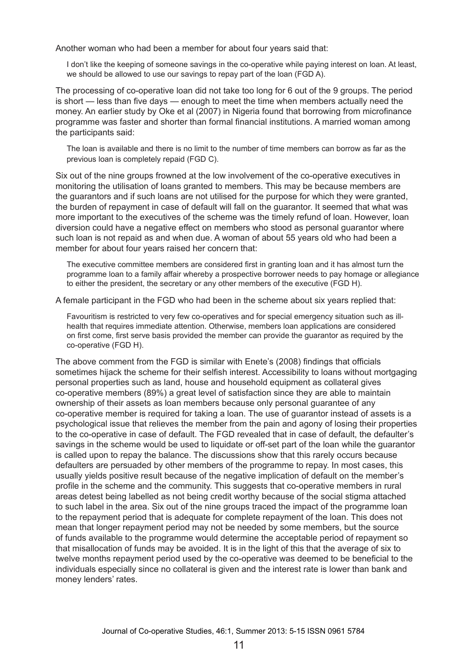Another woman who had been a member for about four years said that:

I don't like the keeping of someone savings in the co-operative while paying interest on loan. At least, we should be allowed to use our savings to repay part of the loan (FGD A).

The processing of co-operative loan did not take too long for 6 out of the 9 groups. The period is short — less than five days — enough to meet the time when members actually need the money. An earlier study by Oke et al (2007) in Nigeria found that borrowing from microfinance programme was faster and shorter than formal financial institutions. A married woman among the participants said:

The loan is available and there is no limit to the number of time members can borrow as far as the previous loan is completely repaid (FGD C).

Six out of the nine groups frowned at the low involvement of the co-operative executives in monitoring the utilisation of loans granted to members. This may be because members are the guarantors and if such loans are not utilised for the purpose for which they were granted, the burden of repayment in case of default will fall on the guarantor. It seemed that what was more important to the executives of the scheme was the timely refund of loan. However, loan diversion could have a negative effect on members who stood as personal guarantor where such loan is not repaid as and when due. A woman of about 55 years old who had been a member for about four years raised her concern that:

The executive committee members are considered first in granting loan and it has almost turn the programme loan to a family affair whereby a prospective borrower needs to pay homage or allegiance to either the president, the secretary or any other members of the executive (FGD H).

A female participant in the FGD who had been in the scheme about six years replied that:

Favouritism is restricted to very few co-operatives and for special emergency situation such as illhealth that requires immediate attention. Otherwise, members loan applications are considered on first come, first serve basis provided the member can provide the guarantor as required by the co-operative (FGD H).

The above comment from the FGD is similar with Enete's (2008) findings that officials sometimes hijack the scheme for their selfish interest. Accessibility to loans without mortgaging personal properties such as land, house and household equipment as collateral gives co-operative members (89%) a great level of satisfaction since they are able to maintain ownership of their assets as loan members because only personal guarantee of any co-operative member is required for taking a loan. The use of guarantor instead of assets is a psychological issue that relieves the member from the pain and agony of losing their properties to the co-operative in case of default. The FGD revealed that in case of default, the defaulter's savings in the scheme would be used to liquidate or off-set part of the loan while the quarantor is called upon to repay the balance. The discussions show that this rarely occurs because defaulters are persuaded by other members of the programme to repay. In most cases, this usually yields positive result because of the negative implication of default on the member's profile in the scheme and the community. This suggests that co-operative members in rural areas detest being labelled as not being credit worthy because of the social stigma attached to such label in the area. Six out of the nine groups traced the impact of the programme loan to the repayment period that is adequate for complete repayment of the loan. This does not mean that longer repayment period may not be needed by some members, but the source of funds available to the programme would determine the acceptable period of repayment so that misallocation of funds may be avoided. It is in the light of this that the average of six to twelve months repayment period used by the co-operative was deemed to be beneficial to the individuals especially since no collateral is given and the interest rate is lower than bank and money lenders' rates.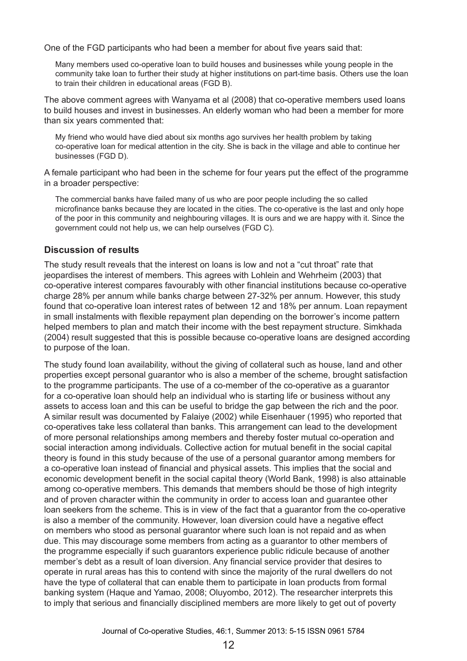One of the FGD participants who had been a member for about five years said that:

Many members used co-operative loan to build houses and businesses while young people in the community take loan to further their study at higher institutions on part-time basis. Others use the loan to train their children in educational areas (FGD B).

The above comment agrees with Wanyama et al (2008) that co-operative members used loans to build houses and invest in businesses. An elderly woman who had been a member for more than six years commented that:

My friend who would have died about six months ago survives her health problem by taking co-operative loan for medical attention in the city. She is back in the village and able to continue her businesses (FGD D).

A female participant who had been in the scheme for four years put the effect of the programme in a broader perspective:

The commercial banks have failed many of us who are poor people including the so called microfinance banks because they are located in the cities. The co-operative is the last and only hope of the poor in this community and neighbouring villages. It is ours and we are happy with it. Since the government could not help us, we can help ourselves (FGD C).

#### **Discussion of results**

The study result reveals that the interest on loans is low and not a "cut throat" rate that jeopardises the interest of members. This agrees with Lohlein and Wehrheim (2003) that co-operative interest compares favourably with other financial institutions because co-operative charge 28% per annum while banks charge between 27-32% per annum. However, this study found that co-operative loan interest rates of between 12 and 18% per annum. Loan repayment in small instalments with flexible repayment plan depending on the borrower's income pattern helped members to plan and match their income with the best repayment structure. Simkhada (2004) result suggested that this is possible because co-operative loans are designed according to purpose of the loan.

The study found loan availability, without the giving of collateral such as house, land and other properties except personal guarantor who is also a member of the scheme, brought satisfaction to the programme participants. The use of a co-member of the co-operative as a guarantor for a co-operative loan should help an individual who is starting life or business without any assets to access loan and this can be useful to bridge the gap between the rich and the poor. A similar result was documented by Falaiye (2002) while Eisenhauer (1995) who reported that co-operatives take less collateral than banks. This arrangement can lead to the development of more personal relationships among members and thereby foster mutual co-operation and social interaction among individuals. Collective action for mutual benefit in the social capital theory is found in this study because of the use of a personal guarantor among members for a co-operative loan instead of financial and physical assets. This implies that the social and economic development benefit in the social capital theory (World Bank, 1998) is also attainable among co-operative members. This demands that members should be those of high integrity and of proven character within the community in order to access loan and guarantee other loan seekers from the scheme. This is in view of the fact that a guarantor from the co-operative is also a member of the community. However, loan diversion could have a negative effect on members who stood as personal guarantor where such loan is not repaid and as when due. This may discourage some members from acting as a guarantor to other members of the programme especially if such guarantors experience public ridicule because of another member's debt as a result of loan diversion. Any financial service provider that desires to operate in rural areas has this to contend with since the majority of the rural dwellers do not have the type of collateral that can enable them to participate in loan products from formal banking system (Haque and Yamao, 2008; Oluyombo, 2012). The researcher interprets this to imply that serious and financially disciplined members are more likely to get out of poverty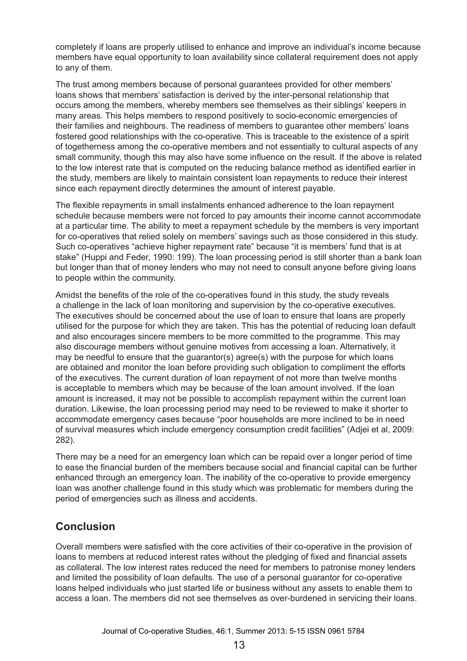completely if loans are properly utilised to enhance and improve an individual's income because members have equal opportunity to loan availability since collateral requirement does not apply to any of them.

The trust among members because of personal guarantees provided for other members' loans shows that members' satisfaction is derived by the inter-personal relationship that occurs among the members, whereby members see themselves as their siblings' keepers in many areas. This helps members to respond positively to socio-economic emergencies of their families and neighbours. The readiness of members to guarantee other members' loans fostered good relationships with the co-operative. This is traceable to the existence of a spirit of togetherness among the co-operative members and not essentially to cultural aspects of any small community, though this may also have some influence on the result. If the above is related to the low interest rate that is computed on the reducing balance method as identified earlier in the study, members are likely to maintain consistent loan repayments to reduce their interest since each repayment directly determines the amount of interest payable.

The flexible repayments in small instalments enhanced adherence to the loan repayment schedule because members were not forced to pay amounts their income cannot accommodate at a particular time. The ability to meet a repayment schedule by the members is very important for co-operatives that relied solely on members' savings such as those considered in this study. Such co-operatives "achieve higher repayment rate" because "it is members' fund that is at stake" (Huppi and Feder, 1990: 199). The loan processing period is still shorter than a bank loan but longer than that of money lenders who may not need to consult anyone before giving loans to people within the community.

Amidst the benefits of the role of the co-operatives found in this study, the study reveals a challenge in the lack of loan monitoring and supervision by the co-operative executives. The executives should be concerned about the use of loan to ensure that loans are properly utilised for the purpose for which they are taken. This has the potential of reducing loan default and also encourages sincere members to be more committed to the programme. This may also discourage members without genuine motives from accessing a loan. Alternatively, it may be needful to ensure that the guarantor(s) agree(s) with the purpose for which loans are obtained and monitor the loan before providing such obligation to compliment the efforts of the executives. The current duration of loan repayment of not more than twelve months is acceptable to members which may be because of the loan amount involved. If the loan amount is increased, it may not be possible to accomplish repayment within the current loan duration. Likewise, the loan processing period may need to be reviewed to make it shorter to accommodate emergency cases because "poor households are more inclined to be in need of survival measures which include emergency consumption credit facilities" (Adjei et al, 2009: 282).

There may be a need for an emergency loan which can be repaid over a longer period of time to ease the financial burden of the members because social and financial capital can be further enhanced through an emergency loan. The inability of the co-operative to provide emergency loan was another challenge found in this study which was problematic for members during the period of emergencies such as illness and accidents.

## **Conclusion**

Overall members were satisfied with the core activities of their co-operative in the provision of loans to members at reduced interest rates without the pledging of fixed and financial assets as collateral. The low interest rates reduced the need for members to patronise money lenders and limited the possibility of loan defaults. The use of a personal guarantor for co-operative loans helped individuals who just started life or business without any assets to enable them to access a loan. The members did not see themselves as over-burdened in servicing their loans.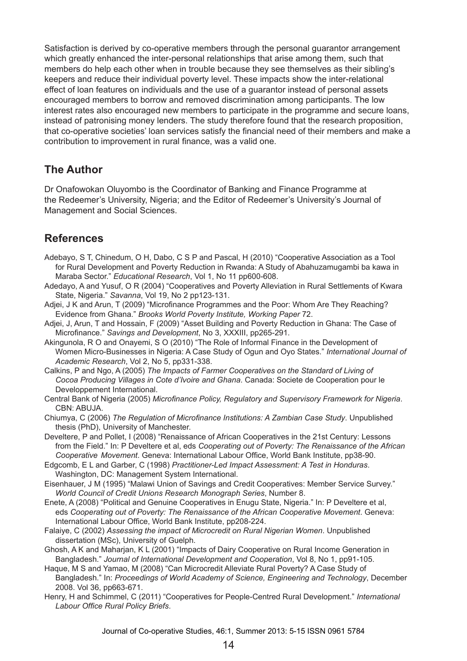Satisfaction is derived by co-operative members through the personal guarantor arrangement which greatly enhanced the inter-personal relationships that arise among them, such that members do help each other when in trouble because they see themselves as their sibling's keepers and reduce their individual poverty level. These impacts show the inter-relational effect of loan features on individuals and the use of a guarantor instead of personal assets encouraged members to borrow and removed discrimination among participants. The low interest rates also encouraged new members to participate in the programme and secure loans, instead of patronising money lenders. The study therefore found that the research proposition, that co-operative societies' loan services satisfy the financial need of their members and make a contribution to improvement in rural finance, was a valid one.

## **The Author**

Dr Onafowokan Oluyombo is the Coordinator of Banking and Finance Programme at the Redeemer's University, Nigeria; and the Editor of Redeemer's University's Journal of Management and Social Sciences.

# **References**

- Adebayo, S T, Chinedum, O H, Dabo, C S P and Pascal, H (2010) "Cooperative Association as a Tool for Rural Development and Poverty Reduction in Rwanda: A Study of Abahuzamugambi ba kawa in Maraba Sector." *Educational Research*, Vol 1, No 11 pp600-608.
- Adedayo, A and Yusuf, O R (2004) "Cooperatives and Poverty Alleviation in Rural Settlements of Kwara State, Nigeria." *Savanna*, Vol 19, No 2 pp123-131.
- Adjei, J K and Arun, T (2009) "Microfinance Programmes and the Poor: Whom Are They Reaching? Evidence from Ghana." *Brooks World Poverty Institute, Working Paper* 72.
- Adjei, J, Arun, T and Hossain, F (2009) "Asset Building and Poverty Reduction in Ghana: The Case of Microfinance." *Savings and Development*, No 3, XXXIII, pp265-291.
- Akingunola, R O and Onayemi, S O (2010) "The Role of Informal Finance in the Development of Women Micro-Businesses in Nigeria: A Case Study of Ogun and Oyo States." *International Journal of Academic Research*, Vol 2, No 5, pp331-338.
- Calkins, P and Ngo, A (2005) *The Impacts of Farmer Cooperatives on the Standard of Living of Cocoa Producing Villages in Cote d'Ivoire and Ghana*. Canada: Societe de Cooperation pour le Developpement International.
- Central Bank of Nigeria (2005) *Microfinance Policy, Regulatory and Supervisory Framework for Nigeria*. CBN: ABUJA.
- Chiumya, C (2006) *The Regulation of Microfinance Institutions: A Zambian Case Study*. Unpublished thesis (PhD), University of Manchester.
- Develtere, P and Pollet, I (2008) "Renaissance of African Cooperatives in the 21st Century: Lessons from the Field." In: P Develtere et al, eds *Cooperating out of Poverty: The Renaissance of the African Cooperative Movement*. Geneva: International Labour Office, World Bank Institute, pp38-90.
- Edgcomb, E L and Garber, C (1998) *Practitioner-Led Impact Assessment: A Test in Honduras*. Washington, DC: Management System International.
- Eisenhauer, J M (1995) "Malawi Union of Savings and Credit Cooperatives: Member Service Survey." *World Council of Credit Unions Research Monograph Series*, Number 8.
- Enete, A (2008) "Political and Genuine Cooperatives in Enugu State, Nigeria." In: P Develtere et al, eds *Cooperating out of Poverty: The Renaissance of the African Cooperative Movement*. Geneva: International Labour Office, World Bank Institute, pp208-224.
- Falaiye, C (2002) *Assessing the impact of Microcredit on Rural Nigerian Women*. Unpublished dissertation (MSc), University of Guelph.
- Ghosh, A K and Maharjan, K L (2001) "Impacts of Dairy Cooperative on Rural Income Generation in Bangladesh." *Journal of International Development and Cooperation*, Vol 8, No 1, pp91-105.
- Haque, M S and Yamao, M (2008) "Can Microcredit Alleviate Rural Poverty? A Case Study of Bangladesh." In: *Proceedings of World Academy of Science, Engineering and Technology*, December 2008. Vol 36, pp663-671.
- Henry, H and Schimmel, C (2011) "Cooperatives for People-Centred Rural Development." *International Labour Office Rural Policy Briefs*.